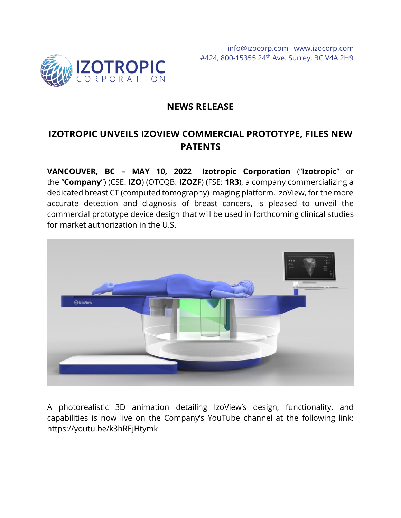

# **NEWS RELEASE**

# **IZOTROPIC UNVEILS IZOVIEW COMMERCIAL PROTOTYPE, FILES NEW PATENTS**

**VANCOUVER, BC – MAY 10, 2022** –**Izotropic Corporation** ("**Izotropic**" or the "**Company**") (CSE: **IZO**) (OTCQB: **IZOZF**) (FSE: **1R3**), a company commercializing a dedicated breast CT (computed tomography) imaging platform, IzoView, for the more accurate detection and diagnosis of breast cancers, is pleased to unveil the commercial prototype device design that will be used in forthcoming clinical studies for market authorization in the U.S.



A photorealistic 3D animation detailing IzoView's design, functionality, and capabilities is now live on the Company's YouTube channel at the following link: <https://youtu.be/k3hREjHtymk>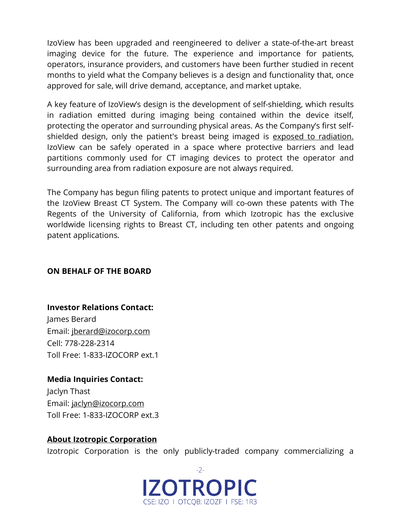IzoView has been upgraded and reengineered to deliver a state-of-the-art breast imaging device for the future. The experience and importance for patients, operators, insurance providers, and customers have been further studied in recent months to yield what the Company believes is a design and functionality that, once approved for sale, will drive demand, acceptance, and market uptake.

A key feature of IzoView's design is the development of self-shielding, which results in radiation emitted during imaging being contained within the device itself, protecting the operator and surrounding physical areas. As the Company's first selfshielded design, only the patient's breast being imaged is [exposed to radiation.](https://izocorp.com/news-releases/izotropics-breast-ct-radiation-imaging-subsystem-powered-on-and-takes-initial-images/) IzoView can be safely operated in a space where protective barriers and lead partitions commonly used for CT imaging devices to protect the operator and surrounding area from radiation exposure are not always required.

The Company has begun filing patents to protect unique and important features of the IzoView Breast CT System. The Company will co-own these patents with The Regents of the University of California, from which Izotropic has the exclusive worldwide licensing rights to Breast CT, including ten other patents and ongoing patent applications.

## **ON BEHALF OF THE BOARD**

## **Investor Relations Contact:** James Berard

Email: [jberard@izocorp.com](mailto:jberard@izocorp.com) Cell: 778-228-2314 Toll Free: 1-833-IZOCORP ext.1

# **Media Inquiries Contact:**

Jaclyn Thast Email: [jaclyn@izocorp.com](mailto:jaclyn@izocorp.com) Toll Free: 1-833-IZOCORP ext.3

## **About Izotropic Corporation**

Izotropic Corporation is the only publicly-traded company commercializing a